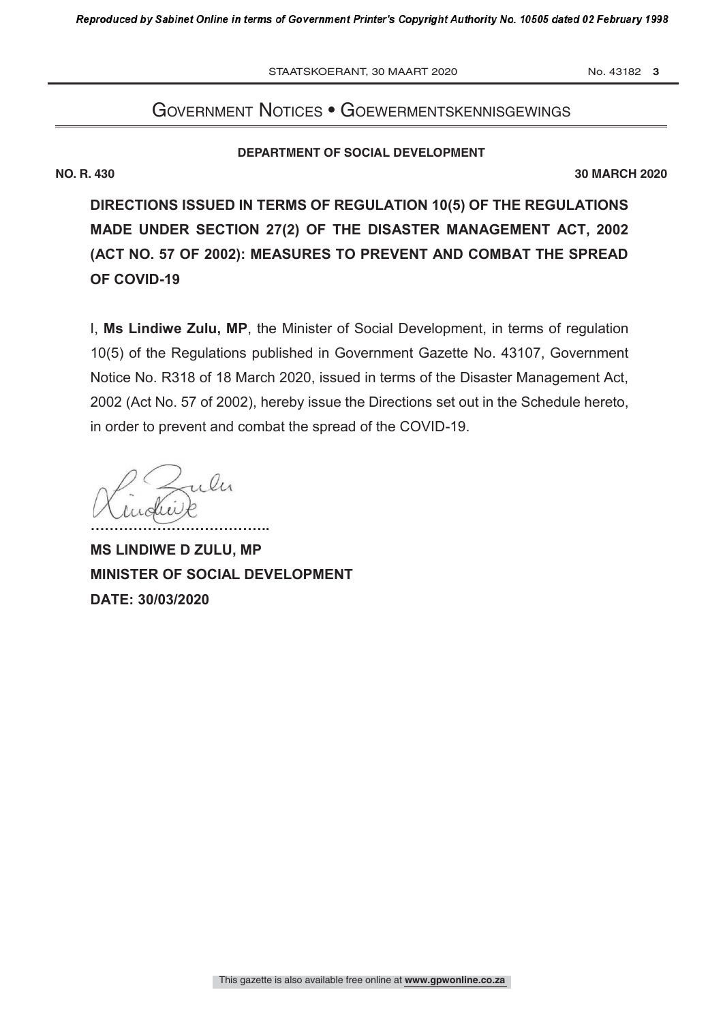STAATSKOERANT, 30 MAART 2020 No. 43182 3

# Government notices • GoewermentskennisGewinGs

### **DEPARTMENT OF SOCIAL DEVELOPMENT**

**NO. R. 430 30 MARCH 2020**

**DIRECTIONS ISSUED IN TERMS OF REGULATION 10(5) OF THE REGULATIONS MADE UNDER SECTION 27(2) OF THE DISASTER MANAGEMENT ACT, 2002 (ACT NO. 57 OF 2002): MEASURES TO PREVENT AND COMBAT THE SPREAD OF COVID-19**

I, **Ms Lindiwe Zulu, MP**, the Minister of Social Development, in terms of regulation 10(5) of the Regulations published in Government Gazette No. 43107, Government Notice No. R318 of 18 March 2020, issued in terms of the Disaster Management Act, 2002 (Act No. 57 of 2002), hereby issue the Directions set out in the Schedule hereto, in order to prevent and combat the spread of the COVID-19.

 $\mathcal{C}$ **………………………………..**

**MS LINDIWE D ZULU, MP MINISTER OF SOCIAL DEVELOPMENT DATE: 30/03/2020**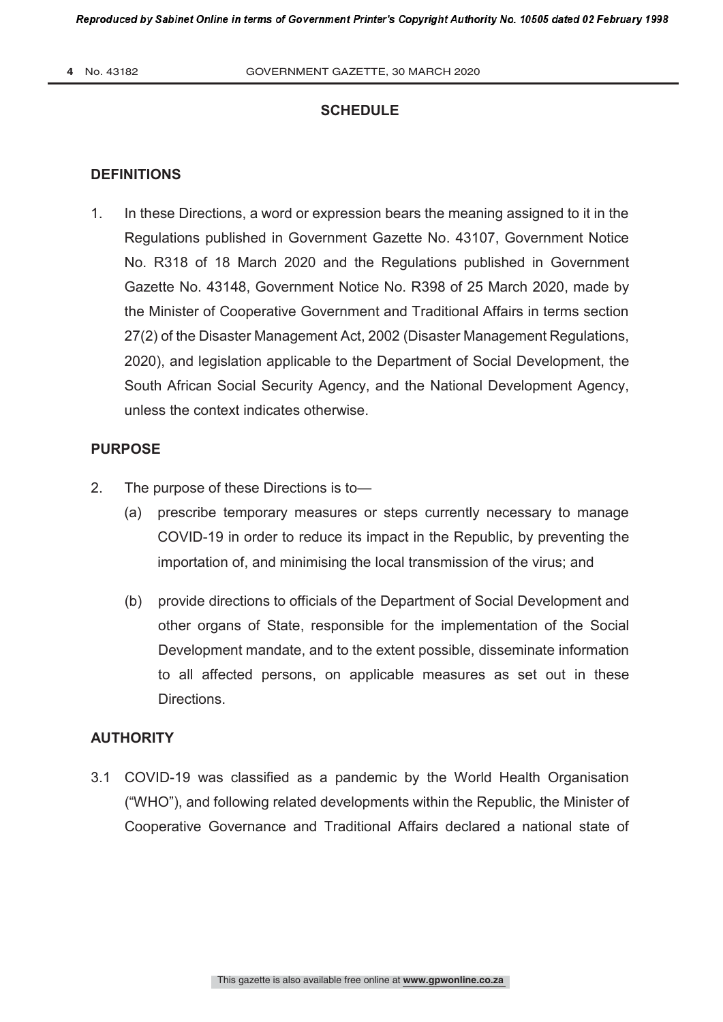# **SCHEDULE**

## **DEFINITIONS**

1. In these Directions, a word or expression bears the meaning assigned to it in the Regulations published in Government Gazette No. 43107, Government Notice No. R318 of 18 March 2020 and the Regulations published in Government Gazette No. 43148, Government Notice No. R398 of 25 March 2020, made by the Minister of Cooperative Government and Traditional Affairs in terms section 27(2) of the Disaster Management Act, 2002 (Disaster Management Regulations, 2020), and legislation applicable to the Department of Social Development, the South African Social Security Agency, and the National Development Agency, unless the context indicates otherwise.

## **PURPOSE**

- 2. The purpose of these Directions is to—
	- (a) prescribe temporary measures or steps currently necessary to manage COVID-19 in order to reduce its impact in the Republic, by preventing the importation of, and minimising the local transmission of the virus; and
	- (b) provide directions to officials of the Department of Social Development and other organs of State, responsible for the implementation of the Social Development mandate, and to the extent possible, disseminate information to all affected persons, on applicable measures as set out in these **Directions**

# **AUTHORITY**

3.1 COVID-19 was classified as a pandemic by the World Health Organisation ("WHO"), and following related developments within the Republic, the Minister of Cooperative Governance and Traditional Affairs declared a national state of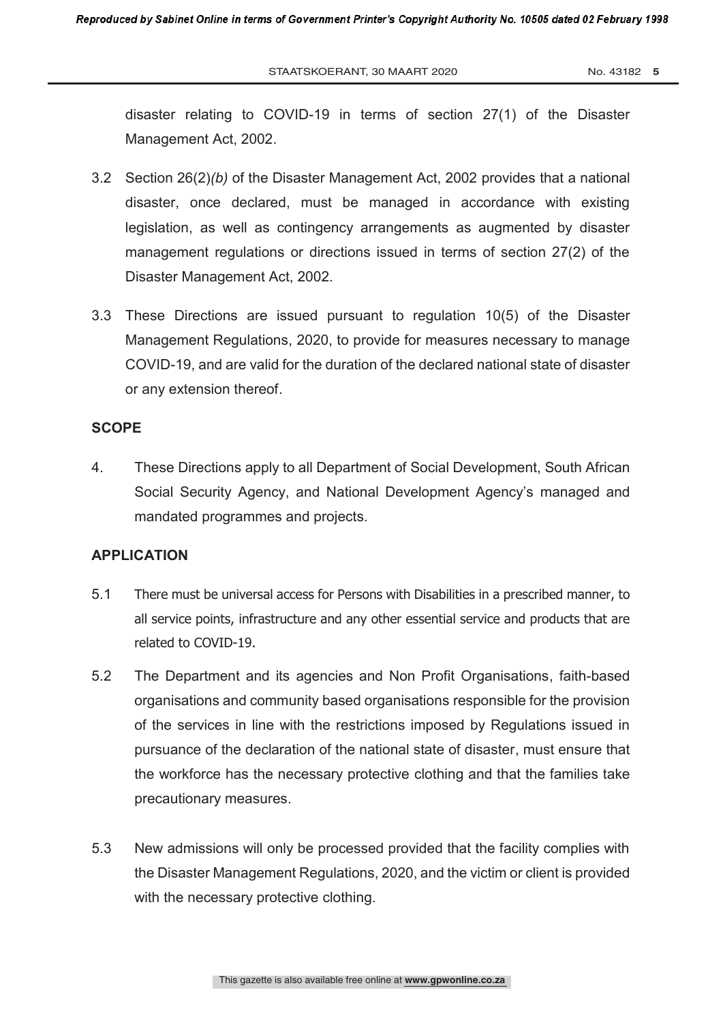disaster relating to COVID-19 in terms of section 27(1) of the Disaster Management Act, 2002.

- 3.2 Section 26(2)*(b)* of the Disaster Management Act, 2002 provides that a national disaster, once declared, must be managed in accordance with existing legislation, as well as contingency arrangements as augmented by disaster management regulations or directions issued in terms of section 27(2) of the Disaster Management Act, 2002.
- 3.3 These Directions are issued pursuant to regulation 10(5) of the Disaster Management Regulations, 2020, to provide for measures necessary to manage COVID-19, and are valid for the duration of the declared national state of disaster or any extension thereof.

## **SCOPE**

4. These Directions apply to all Department of Social Development, South African Social Security Agency, and National Development Agency's managed and mandated programmes and projects.

### **APPLICATION**

- 5.1 There must be universal access for Persons with Disabilities in a prescribed manner, to all service points, infrastructure and any other essential service and products that are related to COVID-19.
- 5.2 The Department and its agencies and Non Profit Organisations, faith-based organisations and community based organisations responsible for the provision of the services in line with the restrictions imposed by Regulations issued in pursuance of the declaration of the national state of disaster, must ensure that the workforce has the necessary protective clothing and that the families take precautionary measures.
- 5.3 New admissions will only be processed provided that the facility complies with the Disaster Management Regulations, 2020, and the victim or client is provided with the necessary protective clothing.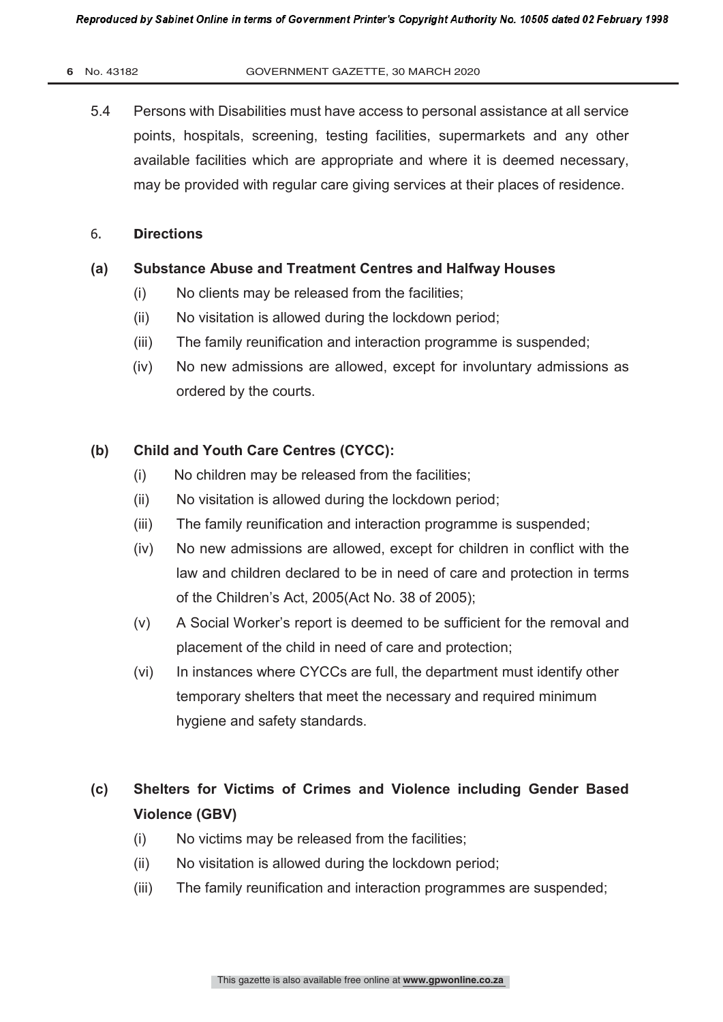#### **6** No. 43182 GOVERNMENT GAZETTE, 30 MARCH 2020

5.4 Persons with Disabilities must have access to personal assistance at all service points, hospitals, screening, testing facilities, supermarkets and any other available facilities which are appropriate and where it is deemed necessary, may be provided with regular care giving services at their places of residence.

## 6. **Directions**

## **(a) Substance Abuse and Treatment Centres and Halfway Houses**

- (i) No clients may be released from the facilities;
- (ii) No visitation is allowed during the lockdown period;
- (iii) The family reunification and interaction programme is suspended;
- (iv) No new admissions are allowed, except for involuntary admissions as ordered by the courts.

# **(b) Child and Youth Care Centres (CYCC):**

- (i) No children may be released from the facilities;
- (ii) No visitation is allowed during the lockdown period;
- (iii) The family reunification and interaction programme is suspended;
- (iv) No new admissions are allowed, except for children in conflict with the law and children declared to be in need of care and protection in terms of the Children's Act, 2005(Act No. 38 of 2005);
- (v) A Social Worker's report is deemed to be sufficient for the removal and placement of the child in need of care and protection;
- (vi) In instances where CYCCs are full, the department must identify other temporary shelters that meet the necessary and required minimum hygiene and safety standards.

# **(c) Shelters for Victims of Crimes and Violence including Gender Based Violence (GBV)**

- (i) No victims may be released from the facilities;
- (ii) No visitation is allowed during the lockdown period;
- (iii) The family reunification and interaction programmes are suspended;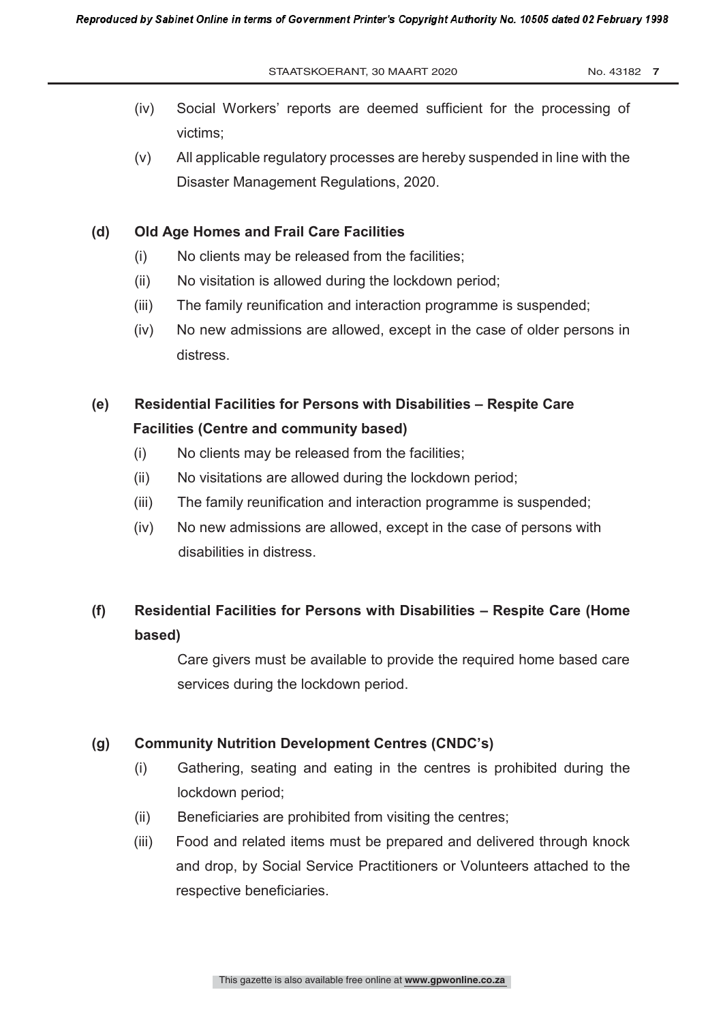- (iv) Social Workers' reports are deemed sufficient for the processing of victims;
- (v) All applicable regulatory processes are hereby suspended in line with the Disaster Management Regulations, 2020.

## **(d) Old Age Homes and Frail Care Facilities**

- (i) No clients may be released from the facilities;
- (ii) No visitation is allowed during the lockdown period;
- (iii) The family reunification and interaction programme is suspended;
- (iv) No new admissions are allowed, except in the case of older persons in distress.

# **(e) Residential Facilities for Persons with Disabilities – Respite Care Facilities (Centre and community based)**

- (i) No clients may be released from the facilities;
- (ii) No visitations are allowed during the lockdown period;
- (iii) The family reunification and interaction programme is suspended;
- (iv) No new admissions are allowed, except in the case of persons with disabilities in distress.

# **(f) Residential Facilities for Persons with Disabilities – Respite Care (Home based)**

Care givers must be available to provide the required home based care services during the lockdown period.

## **(g) Community Nutrition Development Centres (CNDC's)**

- (i) Gathering, seating and eating in the centres is prohibited during the lockdown period;
- (ii) Beneficiaries are prohibited from visiting the centres;
- (iii) Food and related items must be prepared and delivered through knock and drop, by Social Service Practitioners or Volunteers attached to the respective beneficiaries.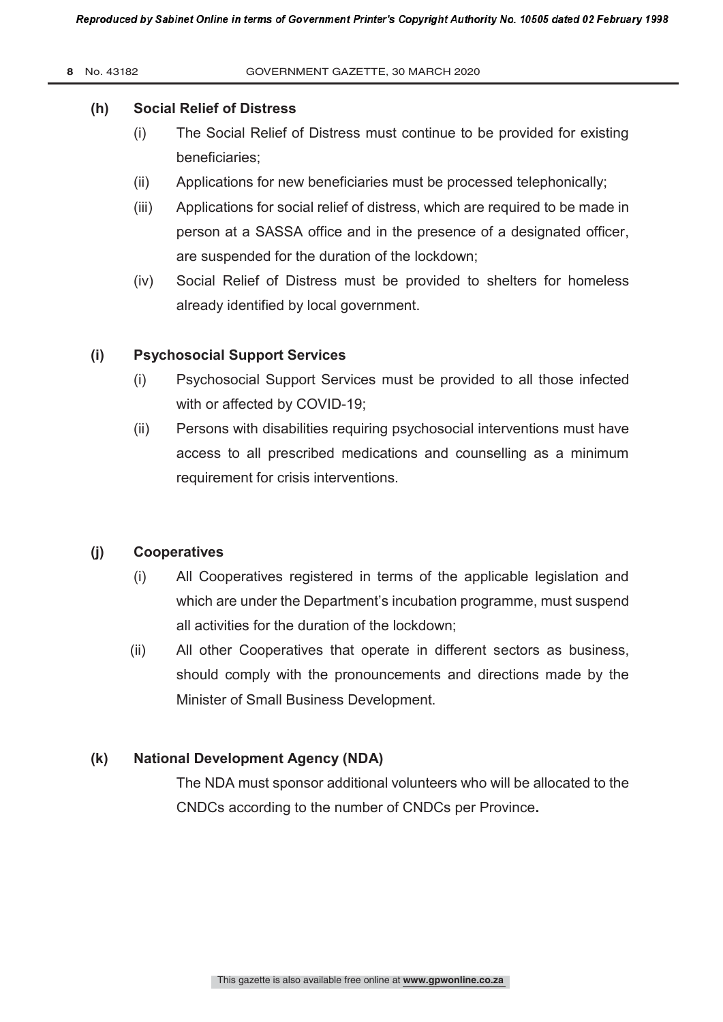#### **8** No. 43182 GOVERNMENT GAZETTE, 30 MARCH 2020

## **(h) Social Relief of Distress**

- (i) The Social Relief of Distress must continue to be provided for existing beneficiaries;
- (ii) Applications for new beneficiaries must be processed telephonically;
- (iii) Applications for social relief of distress, which are required to be made in person at a SASSA office and in the presence of a designated officer, are suspended for the duration of the lockdown;
- (iv) Social Relief of Distress must be provided to shelters for homeless already identified by local government.

## **(i) Psychosocial Support Services**

- (i) Psychosocial Support Services must be provided to all those infected with or affected by COVID-19;
- (ii) Persons with disabilities requiring psychosocial interventions must have access to all prescribed medications and counselling as a minimum requirement for crisis interventions.

## **(j) Cooperatives**

- (i) All Cooperatives registered in terms of the applicable legislation and which are under the Department's incubation programme, must suspend all activities for the duration of the lockdown;
- (ii) All other Cooperatives that operate in different sectors as business, should comply with the pronouncements and directions made by the Minister of Small Business Development.

## **(k) National Development Agency (NDA)**

The NDA must sponsor additional volunteers who will be allocated to the CNDCs according to the number of CNDCs per Province**.**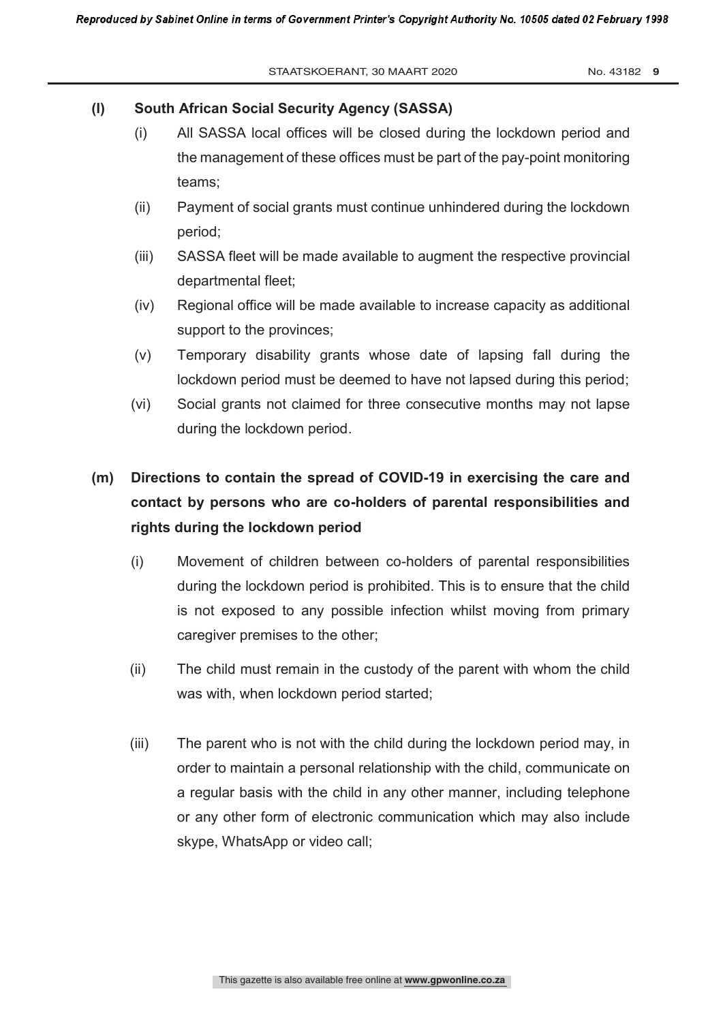## **(l) South African Social Security Agency (SASSA)**

- (i) All SASSA local offices will be closed during the lockdown period and the management of these offices must be part of the pay-point monitoring teams;
- (ii) Payment of social grants must continue unhindered during the lockdown period;
- (iii) SASSA fleet will be made available to augment the respective provincial departmental fleet;
- (iv) Regional office will be made available to increase capacity as additional support to the provinces;
- (v) Temporary disability grants whose date of lapsing fall during the lockdown period must be deemed to have not lapsed during this period;
- (vi) Social grants not claimed for three consecutive months may not lapse during the lockdown period.

# **(m) Directions to contain the spread of COVID-19 in exercising the care and contact by persons who are co-holders of parental responsibilities and rights during the lockdown period**

- (i) Movement of children between co-holders of parental responsibilities during the lockdown period is prohibited. This is to ensure that the child is not exposed to any possible infection whilst moving from primary caregiver premises to the other;
- (ii) The child must remain in the custody of the parent with whom the child was with, when lockdown period started;
- (iii) The parent who is not with the child during the lockdown period may, in order to maintain a personal relationship with the child, communicate on a regular basis with the child in any other manner, including telephone or any other form of electronic communication which may also include skype, WhatsApp or video call;